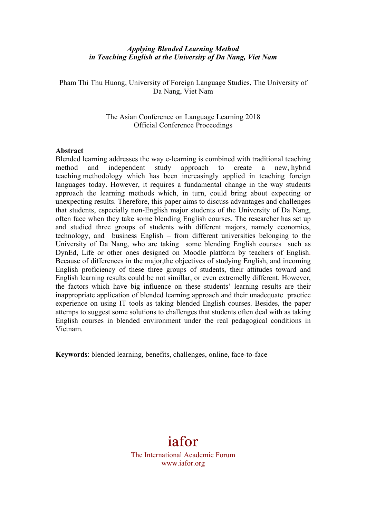## *Applying Blended Learning Method in Teaching English at the University of Da Nang, Viet Nam*

Pham Thi Thu Huong, University of Foreign Language Studies, The University of Da Nang, Viet Nam

## The Asian Conference on Language Learning 2018 Official Conference Proceedings

#### **Abstract**

Blended learning addresses the way e-learning is combined with traditional teaching method and independent study approach to create a new, hybrid teaching methodology which has been increasingly applied in teaching foreign languages today. However, it requires a fundamental change in the way students approach the learning methods which, in turn, could bring about expecting or unexpecting results. Therefore, this paper aims to discuss advantages and challenges that students, especially non-English major students of the University of Da Nang, often face when they take some blending English courses. The researcher has set up and studied three groups of students with different majors, namely economics, technology, and business English – from different universities belonging to the University of Da Nang, who are taking some blending English courses such as DynEd, Life or other ones designed on Moodle platform by teachers of English. Because of differences in the major,the objectives of studying English, and incoming English proficiency of these three groups of students, their attitudes toward and English learning results could be not simillar, or even extremelly different. However, the factors which have big influence on these students' learning results are their inappropriate application of blended learning approach and their unadequate practice experience on using IT tools as taking blended English courses. Besides, the paper attemps to suggest some solutions to challenges that students often deal with as taking English courses in blended environment under the real pedagogical conditions in Vietnam.

**Keywords**: blended learning, benefits, challenges, online, face-to-face

# iafor

The International Academic Forum www.iafor.org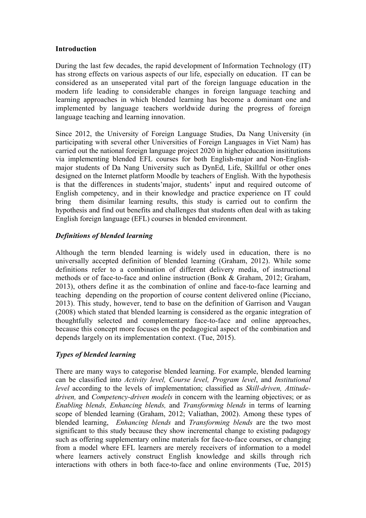## **Introduction**

During the last few decades, the rapid development of Information Technology (IT) has strong effects on various aspects of our life, especially on education. IT can be considered as an unseperated vital part of the foreign language education in the modern life leading to considerable changes in foreign language teaching and learning approaches in which blended learning has become a dominant one and implemented by language teachers worldwide during the progress of foreign language teaching and learning innovation.

Since 2012, the University of Foreign Language Studies, Da Nang University (in participating with several other Universities of Foreign Languages in Viet Nam) has carried out the national foreign language project 2020 in higher education insititutions via implementing blended EFL courses for both English-major and Non-Englishmajor students of Da Nang University such as DynEd, Life, Skillful or other ones designed on the Internet platform Moodle by teachers of English. With the hypothesis is that the differences in students'major, students' input and required outcome of English competency, and in their knowledge and practice experience on IT could bring them disimilar learning results, this study is carried out to confirm the hypothesis and find out benefits and challenges that students often deal with as taking English foreign language (EFL) courses in blended environment.

# *Definitions of blended learning*

Although the term blended learning is widely used in education, there is no universally accepted definition of blended learning (Graham, 2012). While some definitions refer to a combination of different delivery media, of instructional methods or of face-to-face and online instruction (Bonk & Graham, 2012; Graham, 2013), others define it as the combination of online and face-to-face learning and teaching depending on the proportion of course content delivered online (Picciano, 2013). This study, however, tend to base on the definition of Garrison and Vaugan (2008) which stated that blended learning is considered as the organic integration of thoughtfully selected and complementary face-to-face and online approaches, because this concept more focuses on the pedagogical aspect of the combination and depends largely on its implementation context. (Tue, 2015).

# *Types of blended learning*

There are many ways to categorise blended learning. For example, blended learning can be classified into *Activity level, Course level, Program level*, and *Institutional level* according to the levels of implementation; classified as *Skill-driven, Attitudedriven,* and *Competency-driven models* in concern with the learning objectives; or as *Enabling blends, Enhancing blends,* and *Transforming blends* in terms of learning scope of blended learning (Graham, 2012; Valiathan, 2002). Among these types of blended learning, *Enhancing blends* and *Transforming blends* are the two most significant to this study because they show incremental change to existing padagogy such as offering supplementary online materials for face-to-face courses, or changing from a model where EFL learners are merely receivers of information to a model where learners actively construct English knowledge and skills through rich interactions with others in both face-to-face and online environments (Tue, 2015)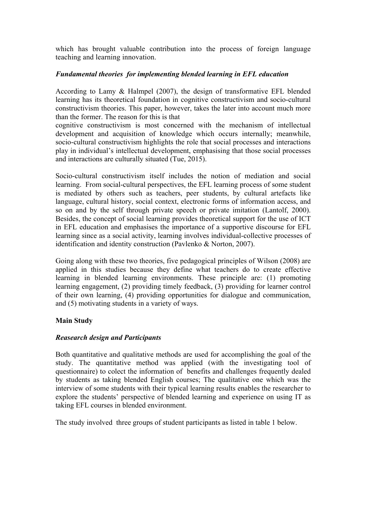which has brought valuable contribution into the process of foreign language teaching and learning innovation.

# *Fundamental theories for implementing blended learning in EFL education*

According to Lamy & Halmpel (2007), the design of transformative EFL blended learning has its theoretical foundation in cognitive constructivism and socio-cultural constructivism theories. This paper, however, takes the later into account much more than the former. The reason for this is that

cognitive constructivism is most concerned with the mechanism of intellectual development and acquisition of knowledge which occurs internally; meanwhile, socio-cultural constructivism highlights the role that social processes and interactions play in individual's intellectual development, emphasising that those social processes and interactions are culturally situated (Tue, 2015).

Socio-cultural constructivism itself includes the notion of mediation and social learning. From social-cultural perspectives, the EFL learning process of some student is mediated by others such as teachers, peer students, by cultural artefacts like language, cultural history, social context, electronic forms of information access, and so on and by the self through private speech or private imitation (Lantolf, 2000). Besides, the concept of social learning provides theoretical support for the use of ICT in EFL education and emphasises the importance of a supportive discourse for EFL learning since as a social activity, learning involves individual-collective processes of identification and identity construction (Pavlenko & Norton, 2007).

Going along with these two theories, five pedagogical principles of Wilson (2008) are applied in this studies because they define what teachers do to create effective learning in blended learning environments. These principle are: (1) promoting learning engagement, (2) providing timely feedback, (3) providing for learner control of their own learning, (4) providing opportunities for dialogue and communication, and (5) motivating students in a variety of ways.

# **Main Study**

# *Reasearch design and Participants*

Both quantitative and qualitative methods are used for accomplishing the goal of the study. The quantitative method was applied (with the investigating tool of questionnaire) to colect the information of benefits and challenges frequently dealed by students as taking blended English courses; The qualitative one which was the interview of some students with their typical learning results enables the researcher to explore the students' perspective of blended learning and experience on using IT as taking EFL courses in blended environment.

The study involved three groups of student participants as listed in table 1 below.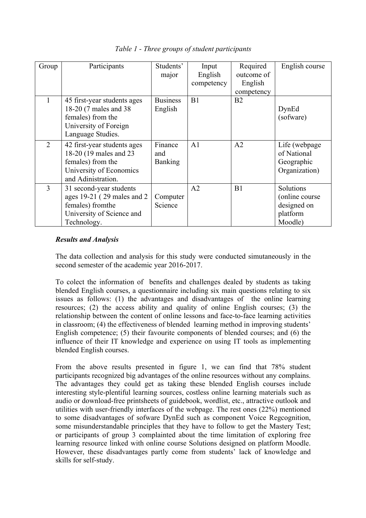| Group          | Participants                                                                                                                | Students'<br>major               | Input<br>English<br>competency | Required<br>outcome of<br>English<br>competency | English course                                                     |
|----------------|-----------------------------------------------------------------------------------------------------------------------------|----------------------------------|--------------------------------|-------------------------------------------------|--------------------------------------------------------------------|
| 1              | 45 first-year students ages<br>18-20 (7 males and 38)<br>females) from the<br>University of Foreign<br>Language Studies.    | <b>Business</b><br>English       | B1                             | B <sub>2</sub>                                  | DynEd<br>(sofware)                                                 |
| $\overline{2}$ | 42 first-year students ages<br>18-20 (19 males and 23<br>females) from the<br>University of Economics<br>and Adinistration. | Finance<br>and<br><b>Banking</b> | A <sub>1</sub>                 | A <sub>2</sub>                                  | Life (webpage)<br>of National<br>Geographic<br>Organization)       |
| 3              | 31 second-year students<br>ages 19-21 (29 males and 2)<br>females) from the<br>University of Science and<br>Technology.     | Computer<br>Science              | A <sub>2</sub>                 | B1                                              | Solutions<br>(online course)<br>designed on<br>platform<br>Moodle) |

*Table 1 - Three groups of student participants*

## *Results and Analysis*

The data collection and analysis for this study were conducted simutaneously in the second semester of the academic year 2016-2017.

To colect the information of benefits and challenges dealed by students as taking blended English courses, a questionnaire including six main questions relating to six issues as follows: (1) the advantages and disadvantages of the online learning resources; (2) the access ability and quality of online English courses; (3) the relationship between the content of online lessons and face-to-face learning activities in classroom; (4) the effectiveness of blended learning method in improving students' English competence; (5) their favourite components of blended courses; and (6) the influence of their IT knowledge and experience on using IT tools as implementing blended English courses.

From the above results presented in figure 1, we can find that 78% student participants recognized big advantages of the online resources without any complains. The advantages they could get as taking these blended English courses include interesting style-plentiful learning sources, costless online learning materials such as audio or download-free printsheets of guidebook, wordlist, etc., attractive outlook and utilities with user-friendly interfaces of the webpage. The rest ones (22%) mentioned to some disadvantages of sofware DynEd such as component Voice Regcognition, some misunderstandable principles that they have to follow to get the Mastery Test; or participants of group 3 complainted about the time limitation of exploring free learning resource linked with online course Solutions designed on platform Moodle. However, these disadvantages partly come from students' lack of knowledge and skills for self-study.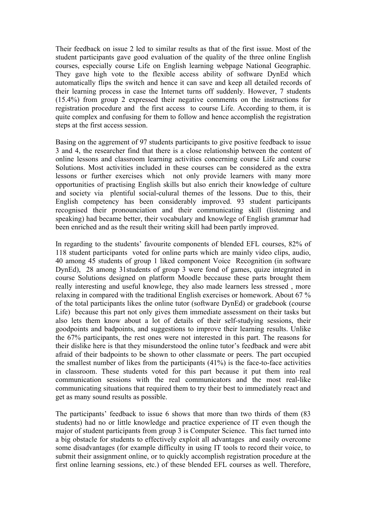Their feedback on issue 2 led to similar results as that of the first issue. Most of the student participants gave good evaluation of the quality of the three online English courses, especially course Life on English learning webpage National Geographic. They gave high vote to the flexible access ability of software DynEd which automatically flips the switch and hence it can save and keep all detailed records of their learning process in case the Internet turns off suddenly. However, 7 students (15.4%) from group 2 expressed their negative comments on the instructions for registration procedure and the first access to course Life. According to them, it is quite complex and confusing for them to follow and hence accomplish the registration steps at the first access session.

Basing on the aggrement of 97 students participants to give positive feedback to issue 3 and 4, the researcher find that there is a close relationship between the content of online lessons and classroom learning activities concerning course Life and course Solutions. Most activities included in these courses can be considered as the extra lessons or further exercises which not only provide learners with many more opportunities of practising English skills but also enrich their knowledge of culture and society via plentiful social-culural themes of the lessons. Due to this, their English competency has been considerably improved. 93 student participants recognised their pronounciation and their communicating skill (listening and speaking) had became better, their vocabulary and knowlege of English grammar had been enriched and as the result their writing skill had been partly improved.

In regarding to the students' favourite components of blended EFL courses, 82% of 118 student participants voted for online parts which are mainly video clips, audio, 40 among 45 students of group 1 liked component Voice Recognition (in software DynEd), 28 among 31students of group 3 were fond of games, quize integrated in course Solutions designed on platform Moodle beccause these parts brought them really interesting and useful knowlege, they also made learners less stressed , more relaxing in compared with the traditional English exercises or homework. About 67 % of the total participants likes the online tutor (software DynEd) or gradebook (course Life) because this part not only gives them immediate assessment on their tasks but also lets them know about a lot of details of their self-studying sessions, their goodpoints and badpoints, and suggestions to improve their learning results. Unlike the 67% participants, the rest ones were not interested in this part. The reasons for their dislike here is that they misunderstood the online tutor's feedback and were abit afraid of their badpoints to be shown to other classmate or peers. The part occupied the smallest number of likes from the participants (41%) is the face-to-face activities in classroom. These students voted for this part because it put them into real communication sessions with the real communicators and the most real-like communicating situations that required them to try their best to immediately react and get as many sound results as possible.

The participants' feedback to issue 6 shows that more than two thirds of them (83 students) had no or little knowledge and practice experience of IT even though the major of student participants from group 3 is Computer Science. This fact turned into a big obstacle for students to effectively exploit all advantages and easily overcome some disadvantages (for example difficulty in using IT tools to record their voice, to submit their assignment online, or to quickly accomplish registration procedure at the first online learning sessions, etc.) of these blended EFL courses as well. Therefore,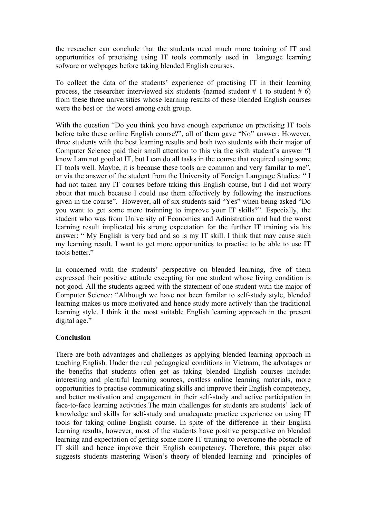the reseacher can conclude that the students need much more training of IT and opportunities of practising using IT tools commonly used in language learning sofware or webpages before taking blended English courses.

To collect the data of the students' experience of practising IT in their learning process, the researcher interviewed six students (named student # 1 to student # 6) from these three universities whose learning results of these blended English courses were the best or the worst among each group.

With the question "Do you think you have enough experience on practising IT tools before take these online English course?", all of them gave "No" answer. However, three students with the best learning results and both two students with their major of Computer Science paid their small attention to this via the sixth student's answer "I know I am not good at IT, but I can do all tasks in the course that required using some IT tools well. Maybe, it is because these tools are common and very familar to me", or via the answer of the student from the University of Foreign Language Studies: " I had not taken any IT courses before taking this English course, but I did not worry about that much because I could use them effectively by following the instructions given in the course". However, all of six students said "Yes" when being asked "Do you want to get some more trainning to improve your IT skills?". Especially, the student who was from University of Economics and Adinistration and had the worst learning result implicated his strong expectation for the further IT training via his answer: " My English is very bad and so is my IT skill. I think that may cause such my learning result. I want to get more opportunities to practise to be able to use IT tools better."

In concerned with the students' perspective on blended learning, five of them expressed their positive attitude excepting for one student whose living condition is not good. All the students agreed with the statement of one student with the major of Computer Science: "Although we have not been familar to self-study style, blended learning makes us more motivated and hence study more actively than the traditional learning style. I think it the most suitable English learning approach in the present digital age."

#### **Conclusion**

There are both advantages and challenges as applying blended learning approach in teaching English. Under the real pedagogical conditions in Vietnam, the advatages or the benefits that students often get as taking blended English courses include: interesting and plentiful learning sources, costless online learning materials, more opportunities to practise communicating skills and improve their English competency, and better motivation and engagement in their self-study and active participation in face-to-face learning activities.The main challenges for students are students' lack of knowledge and skills for self-study and unadequate practice experience on using IT tools for taking online English course. In spite of the difference in their English learning results, however, most of the students have positive perspective on blended learning and expectation of getting some more IT training to overcome the obstacle of IT skill and hence improve their English competency. Therefore, this paper also suggests students mastering Wison's theory of blended learning and principles of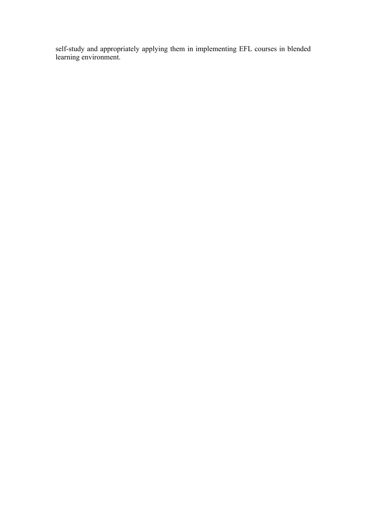self-study and appropriately applying them in implementing EFL courses in blended learning environment.